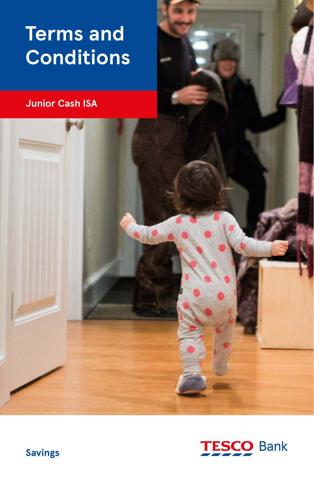# **Terms and Conditions**

# **Junior Cash ISA**



**Savings**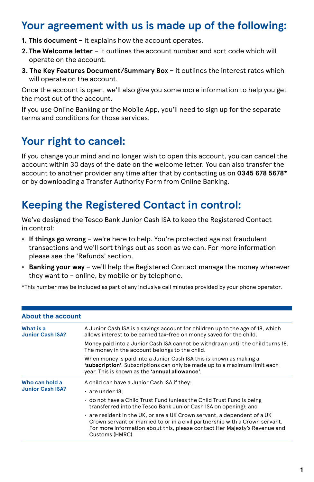# **Your agreement with us is made up of the following:**

- **1. This document –** it explains how the account operates.
- **2. The Welcome letter –** it outlines the account number and sort code which will operate on the account.
- **3. The Key Features Document/Summary Box –** it outlines the interest rates which will operate on the account.

Once the account is open, we'll also give you some more information to help you get the most out of the account.

If you use Online Banking or the Mobile App, you'll need to sign up for the separate terms and conditions for those services.

# **Your right to cancel:**

If you change your mind and no longer wish to open this account, you can cancel the account within 30 days of the date on the welcome letter. You can also transfer the account to another provider any time after that by contacting us on **0345 678 5678\*** or by downloading a Transfer Authority Form from Online Banking.

# **Keeping the Registered Contact in control:**

We've designed the Tesco Bank Junior Cash ISA to keep the Registered Contact in control:

- **If things go wrong –** we're here to help. You're protected against fraudulent transactions and we'll sort things out as soon as we can. For more information please see the 'Refunds' section.
- **Banking your way –** we'll help the Registered Contact manage the money wherever they want to – online, by mobile or by telephone.

\*This number may be included as part of any inclusive call minutes provided by your phone operator.

| <b>About the account</b>                  |                                                                                                                                                                                                                                                         |
|-------------------------------------------|---------------------------------------------------------------------------------------------------------------------------------------------------------------------------------------------------------------------------------------------------------|
| What is a<br><b>Junior Cash ISA?</b>      | A Junior Cash ISA is a savings account for children up to the age of 18, which<br>allows interest to be earned tax-free on money saved for the child.                                                                                                   |
|                                           | Money paid into a Junior Cash ISA cannot be withdrawn until the child turns 18.<br>The money in the account belongs to the child.                                                                                                                       |
|                                           | When money is paid into a Junior Cash ISA this is known as making a<br>'subscription'. Subscriptions can only be made up to a maximum limit each<br>year. This is known as the 'annual allowance'.                                                      |
| Who can hold a<br><b>Junior Cash ISA?</b> | A child can have a Junior Cash ISA if they:                                                                                                                                                                                                             |
|                                           | $\cdot$ are under 18:                                                                                                                                                                                                                                   |
|                                           | • do not have a Child Trust Fund (unless the Child Trust Fund is being<br>transferred into the Tesco Bank Junior Cash ISA on opening); and                                                                                                              |
|                                           | . are resident in the UK, or are a UK Crown servant, a dependent of a UK<br>Crown servant or married to or in a civil partnership with a Crown servant.<br>For more information about this, please contact Her Majesty's Revenue and<br>Customs (HMRC). |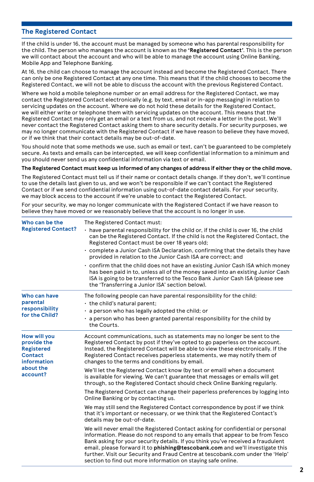#### **The Registered Contact**

If the child is under 16, the account must be managed by someone who has parental responsibility for the child. The person who manages the account is known as the **'Registered Contact'**. This is the person we will contact about the account and who will be able to manage the account using Online Banking, Mobile App and Telephone Banking.

At 16, the child can choose to manage the account instead and become the Registered Contact. There can only be one Registered Contact at any one time. This means that if the child chooses to become the Registered Contact, we will not be able to discuss the account with the previous Registered Contact.

Where we hold a mobile telephone number or an email address for the Registered Contact, we may contact the Registered Contact electronically (e.g. by text, email or in-app messaging) in relation to servicing updates on the account. Where we do not hold these details for the Registered Contact, we will either write or telephone them with servicing updates on the account. This means that the Registered Contact may only get an email or a text from us, and not receive a letter in the post. We'll never contact the Registered Contact asking them to share security details. For security purposes, we may no longer communicate with the Registered Contact if we have reason to believe they have moved, or if we think that their contact details may be out-of-date.

You should note that some methods we use, such as email or text, can't be guaranteed to be completely secure. As texts and emails can be intercepted, we will keep confidential information to a minimum and you should never send us any confidential information via text or email.

#### **The Registered Contact must keep us informed of any changes of address if either they or the child move.**

The Registered Contact must tell us if their name or contact details change. If they don't, we'll continue to use the details last given to us, and we won't be responsible if we can't contact the Registered Contact or if we send confidential information using out-of-date contact details. For your security, we may block access to the account if we're unable to contact the Registered Contact.

For your security, we may no longer communicate with the Registered Contact if we have reason to believe they have moved or we reasonably believe that the account is no longer in use.

| Who can be the<br><b>Registered Contact?</b>                                                   | The Registered Contact must:<br>. have parental responsibility for the child or, if the child is over 16, the child<br>can be the Registered Contact. If the child is not the Registered Contact, the<br>Registered Contact must be over 18 years old;<br>$\cdot$ complete a Junior Cash ISA Declaration, confirming that the details they have<br>provided in relation to the Junior Cash ISA are correct; and<br>• confirm that the child does not have an existing Junior Cash ISA which money<br>has been paid in to, unless all of the money saved into an existing Junior Cash<br>ISA is going to be transferred to the Tesco Bank Junior Cash ISA (please see<br>the 'Transferring a Junior ISA' section below). |
|------------------------------------------------------------------------------------------------|-------------------------------------------------------------------------------------------------------------------------------------------------------------------------------------------------------------------------------------------------------------------------------------------------------------------------------------------------------------------------------------------------------------------------------------------------------------------------------------------------------------------------------------------------------------------------------------------------------------------------------------------------------------------------------------------------------------------------|
| Who can have<br>parental<br>responsibility<br>for the Child?                                   | The following people can have parental responsibility for the child:<br>the child's natural parent;<br>· a person who has legally adopted the child; or<br>$\cdot$ a person who has been granted parental responsibility for the child by<br>the Courts.                                                                                                                                                                                                                                                                                                                                                                                                                                                                |
| <b>How will you</b><br>provide the<br><b>Registered</b><br>Contact<br>information<br>about the | Account communications, such as statements may no longer be sent to the<br>Registered Contact by post if they've opted to go paperless on the account.<br>Instead, the Registered Contact will be able to view these electronically. If the<br>Registered Contact receives paperless statements, we may notify them of<br>changes to the terms and conditions by email.<br>We'll let the Registered Contact know (by text or email) when a document                                                                                                                                                                                                                                                                     |
| account?                                                                                       | is available for viewing. We can't guarantee that messages or emails will get<br>through, so the Registered Contact should check Online Banking regularly.                                                                                                                                                                                                                                                                                                                                                                                                                                                                                                                                                              |
|                                                                                                | The Registered Contact can change their paperless preferences by logging into<br>Online Banking or by contacting us.                                                                                                                                                                                                                                                                                                                                                                                                                                                                                                                                                                                                    |
|                                                                                                | We may still send the Registered Contact correspondence by post if we think<br>that it's important or necessary, or we think that the Registered Contact's<br>details may be out-of-date.                                                                                                                                                                                                                                                                                                                                                                                                                                                                                                                               |
|                                                                                                | We will never email the Registered Contact asking for confidential or personal<br>information. Please do not respond to any emails that appear to be from Tesco<br>Bank asking for your security details. If you think you've received a fraudulent<br>email, please forward it to phishing@tescobank.com and we'll investigate this<br>further. Visit our Security and Fraud Centre at tescobank.com under the 'Help'<br>section to find out more information on staying safe online.                                                                                                                                                                                                                                  |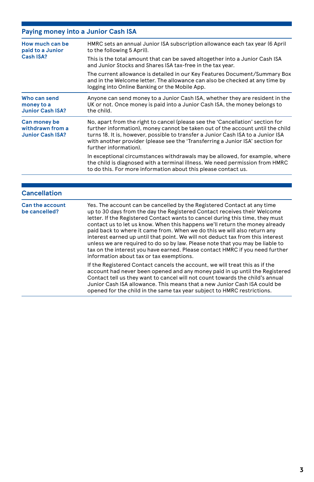### **Paying money into a Junior Cash ISA**

| How much can be<br>paid to a Junior<br>Cash ISA?            | HMRC sets an annual Junior ISA subscription allowance each tax year (6 April<br>to the following 5 April).                                                                                                                                                                                                                                                                                                                                                                                                                                                                                                                                                                                                                                                                     |
|-------------------------------------------------------------|--------------------------------------------------------------------------------------------------------------------------------------------------------------------------------------------------------------------------------------------------------------------------------------------------------------------------------------------------------------------------------------------------------------------------------------------------------------------------------------------------------------------------------------------------------------------------------------------------------------------------------------------------------------------------------------------------------------------------------------------------------------------------------|
|                                                             | This is the total amount that can be saved altogether into a Junior Cash ISA<br>and Junior Stocks and Shares ISA tax-free in the tax year.                                                                                                                                                                                                                                                                                                                                                                                                                                                                                                                                                                                                                                     |
|                                                             | The current allowance is detailed in our Key Features Document/Summary Box<br>and in the Welcome letter. The allowance can also be checked at any time by<br>logging into Online Banking or the Mobile App.                                                                                                                                                                                                                                                                                                                                                                                                                                                                                                                                                                    |
| Who can send<br>money to a<br><b>Junior Cash ISA?</b>       | Anyone can send money to a Junior Cash ISA, whether they are resident in the<br>UK or not. Once money is paid into a Junior Cash ISA, the money belongs to<br>the child.                                                                                                                                                                                                                                                                                                                                                                                                                                                                                                                                                                                                       |
| Can money be<br>withdrawn from a<br><b>Junior Cash ISA?</b> | No, apart from the right to cancel (please see the 'Cancellation' section for<br>further information), money cannot be taken out of the account until the child<br>turns 18. It is, however, possible to transfer a Junior Cash ISA to a Junior ISA<br>with another provider (please see the 'Transferring a Junior ISA' section for<br>further information).                                                                                                                                                                                                                                                                                                                                                                                                                  |
|                                                             | In exceptional circumstances withdrawals may be allowed, for example, where<br>the child is diagnosed with a terminal illness. We need permission from HMRC<br>to do this. For more information about this please contact us.                                                                                                                                                                                                                                                                                                                                                                                                                                                                                                                                                  |
|                                                             |                                                                                                                                                                                                                                                                                                                                                                                                                                                                                                                                                                                                                                                                                                                                                                                |
| <b>Cancellation</b>                                         |                                                                                                                                                                                                                                                                                                                                                                                                                                                                                                                                                                                                                                                                                                                                                                                |
| <b>Can the account</b><br>be cancelled?                     | Yes. The account can be cancelled by the Registered Contact at any time<br>up to 30 days from the day the Registered Contact receives their Welcome<br>letter. If the Registered Contact wants to cancel during this time, they must<br>contact us to let us know. When this happens we'll return the money already<br>paid back to where it came from. When we do this we will also return any<br>interest earned up until that point. We will not deduct tax from this interest<br>unless we are required to do so by law. Please note that you may be liable to<br>tax on the interest you have earned. Please contact HMRC if you need further<br>information about tax or tax exemptions.<br>If the Desistanced Contact consols the conquist we will treat this so if the |
|                                                             |                                                                                                                                                                                                                                                                                                                                                                                                                                                                                                                                                                                                                                                                                                                                                                                |

If the Registered Contact cancels the account, we will treat this as if the account had never been opened and any money paid in up until the Registered Contact tell us they want to cancel will not count towards the child's annual Junior Cash ISA allowance. This means that a new Junior Cash ISA could be opened for the child in the same tax year subject to HMRC restrictions.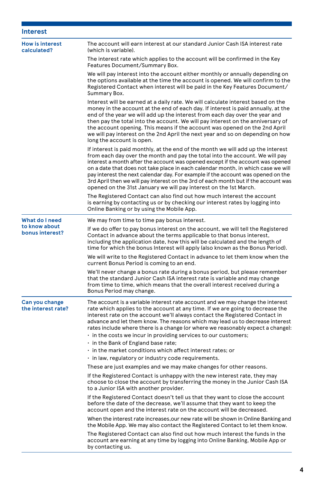| <b>Interest</b>                       |                                                                                                                                                                                                                                                                                                                                                                                                                                                                                                                                                                                        |
|---------------------------------------|----------------------------------------------------------------------------------------------------------------------------------------------------------------------------------------------------------------------------------------------------------------------------------------------------------------------------------------------------------------------------------------------------------------------------------------------------------------------------------------------------------------------------------------------------------------------------------------|
| <b>How is interest</b><br>calculated? | The account will earn interest at our standard Junior Cash ISA interest rate<br>(which is variable).                                                                                                                                                                                                                                                                                                                                                                                                                                                                                   |
|                                       | The interest rate which applies to the account will be confirmed in the Key<br>Features Document/Summary Box.                                                                                                                                                                                                                                                                                                                                                                                                                                                                          |
|                                       | We will pay interest into the account either monthly or annually depending on<br>the options available at the time the account is opened. We will confirm to the<br>Registered Contact when interest will be paid in the Key Features Document/<br>Summary Box.                                                                                                                                                                                                                                                                                                                        |
|                                       | Interest will be earned at a daily rate. We will calculate interest based on the<br>money in the account at the end of each day. If interest is paid annually, at the<br>end of the year we will add up the interest from each day over the year and<br>then pay the total into the account. We will pay interest on the anniversary of<br>the account opening. This means if the account was opened on the 2nd April<br>we will pay interest on the 2nd April the next year and so on depending on how<br>long the account is open.                                                   |
|                                       | If interest is paid monthly, at the end of the month we will add up the interest<br>from each day over the month and pay the total into the account. We will pay<br>interest a month after the account was opened except if the account was opened<br>on a date that does not take place in each calendar month, in which case we will<br>pay interest the next calendar day. For example if the account was opened on the<br>3rd April then we will pay interest on the 3rd of each month but if the account was<br>opened on the 31st January we will pay interest on the 1st March. |
|                                       | The Registered Contact can also find out how much interest the account<br>is earning by contacting us or by checking our interest rates by logging into<br>Online Banking or by using the Mobile App.                                                                                                                                                                                                                                                                                                                                                                                  |
| What do I need                        | We may from time to time pay bonus interest.                                                                                                                                                                                                                                                                                                                                                                                                                                                                                                                                           |
| to know about<br>bonus interest?      | If we do offer to pay bonus interest on the account, we will tell the Registered<br>Contact in advance about the terms applicable to that bonus interest,<br>including the application date, how this will be calculated and the length of<br>time for which the bonus Interest will apply (also known as the Bonus Period).                                                                                                                                                                                                                                                           |
|                                       | We will write to the Registered Contact in advance to let them know when the<br>current Bonus Period is coming to an end.                                                                                                                                                                                                                                                                                                                                                                                                                                                              |
|                                       | We'll never change a bonus rate during a bonus period, but please remember<br>that the standard Junior Cash ISA interest rate is variable and may change<br>from time to time, which means that the overall interest received during a<br>Bonus Period may change.                                                                                                                                                                                                                                                                                                                     |
| Can you change<br>the interest rate?  | The account is a variable interest rate account and we may change the interest<br>rate which applies to the account at any time. If we are going to decrease the<br>interest rate on the account we'll always contact the Registered Contact in<br>advance and let them know. The reasons which may lead us to decrease interest<br>rates include where there is a change (or where we reasonably expect a change):                                                                                                                                                                    |
|                                       | $\cdot$ in the costs we incur in providing services to our customers;                                                                                                                                                                                                                                                                                                                                                                                                                                                                                                                  |
|                                       | • in the Bank of England base rate;                                                                                                                                                                                                                                                                                                                                                                                                                                                                                                                                                    |
|                                       | $\cdot$ in the market conditions which affect interest rates; or<br>. in law, regulatory or industry code requirements.                                                                                                                                                                                                                                                                                                                                                                                                                                                                |
|                                       | These are just examples and we may make changes for other reasons.                                                                                                                                                                                                                                                                                                                                                                                                                                                                                                                     |
|                                       | If the Registered Contact is unhappy with the new interest rate, they may<br>choose to close the account by transferring the money in the Junior Cash ISA<br>to a Junior ISA with another provider.                                                                                                                                                                                                                                                                                                                                                                                    |
|                                       | If the Registered Contact doesn't tell us that they want to close the account<br>before the date of the decrease, we'll assume that they want to keep the<br>account open and the interest rate on the account will be decreased.                                                                                                                                                                                                                                                                                                                                                      |
|                                       | When the interest rate increases, our new rate will be shown in Online Banking and<br>the Mobile App. We may also contact the Registered Contact to let them know.                                                                                                                                                                                                                                                                                                                                                                                                                     |
|                                       | The Registered Contact can also find out how much interest the funds in the<br>account are earning at any time by logging into Online Banking, Mobile App or<br>by contacting us.                                                                                                                                                                                                                                                                                                                                                                                                      |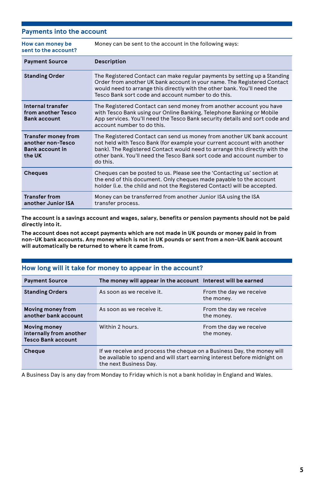| <b>Payments into the account</b>                                                    |                                                                                                                                                                                                                                                                                                                      |
|-------------------------------------------------------------------------------------|----------------------------------------------------------------------------------------------------------------------------------------------------------------------------------------------------------------------------------------------------------------------------------------------------------------------|
| How can money be<br>sent to the account?                                            | Money can be sent to the account in the following ways:                                                                                                                                                                                                                                                              |
| <b>Payment Source</b>                                                               | <b>Description</b>                                                                                                                                                                                                                                                                                                   |
| <b>Standing Order</b>                                                               | The Registered Contact can make regular payments by setting up a Standing<br>Order from another UK bank account in your name. The Registered Contact<br>would need to arrange this directly with the other bank. You'll need the<br>Tesco Bank sort code and account number to do this.                              |
| Internal transfer<br>from another Tesco<br><b>Bank account</b>                      | The Registered Contact can send money from another account you have<br>with Tesco Bank using our Online Banking, Telephone Banking or Mobile<br>App services. You'll need the Tesco Bank security details and sort code and<br>account number to do this.                                                            |
| <b>Transfer money from</b><br>another non-Tesco<br><b>Bank account in</b><br>the UK | The Registered Contact can send us money from another UK bank account<br>not held with Tesco Bank (for example your current account with another<br>bank). The Registered Contact would need to arrange this directly with the<br>other bank. You'll need the Tesco Bank sort code and account number to<br>do this. |
| <b>Cheques</b>                                                                      | Cheques can be posted to us. Please see the 'Contacting us' section at<br>the end of this document. Only cheques made payable to the account<br>holder (i.e. the child and not the Registered Contact) will be accepted.                                                                                             |
| <b>Transfer from</b><br>another Junior ISA                                          | Money can be transferred from another Junior ISA using the ISA<br>transfer process.                                                                                                                                                                                                                                  |

**The account is a savings account and wages, salary, benefits or pension payments should not be paid directly into it.**

**The account does not accept payments which are not made in UK pounds or money paid in from non-UK bank accounts. Any money which is not in UK pounds or sent from a non-UK bank account will automatically be returned to where it came from.**

#### **How long will it take for money to appear in the account?**

| <b>Payment Source</b>                                                       | The money will appear in the account Interest will be earned                                                                                                                 |                                       |
|-----------------------------------------------------------------------------|------------------------------------------------------------------------------------------------------------------------------------------------------------------------------|---------------------------------------|
| <b>Standing Orders</b>                                                      | As soon as we receive it.                                                                                                                                                    | From the day we receive<br>the money. |
| Moving money from<br>another bank account                                   | As soon as we receive it.                                                                                                                                                    | From the day we receive<br>the money. |
| <b>Moving money</b><br>internally from another<br><b>Tesco Bank account</b> | Within 2 hours.                                                                                                                                                              | From the day we receive<br>the money. |
| Cheque                                                                      | If we receive and process the cheque on a Business Day, the money will<br>be available to spend and will start earning interest before midnight on<br>the next Business Day. |                                       |

A Business Day is any day from Monday to Friday which is not a bank holiday in England and Wales.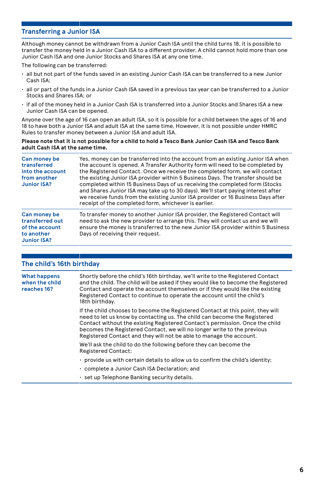#### **Transferring a Junior ISA**

Although money cannot be withdrawn from a Junior Cash ISA until the child turns 18, it is possible to transfer the money held in a Junior Cash ISA to a different provider. A child cannot hold more than one Junior Cash ISA and one Junior Stocks and Shares ISA at any one time.

The following can be transferred:

- all but not part of the funds saved in an existing Junior Cash ISA can be transferred to a new Junior Cash ISA;
- all or part of the funds in a Junior Cash ISA saved in a previous tax year can be transferred to a Junior Stocks and Shares ISA; or
- if all of the money held in a Junior Cash ISA is transferred into a Junior Stocks and Shares ISA a new Junior Cash ISA can be opened.

Anyone over the age of 16 can open an adult ISA, so it is possible for a child between the ages of 16 and 18 to have both a Junior ISA and adult ISA at the same time. However, it is not possible under HMRC Rules to transfer money between a Junior ISA and adult ISA.

#### **Please note that it is not possible for a child to hold a Tesco Bank Junior Cash ISA and Tesco Bank adult Cash ISA at the same time.**

| Can money be<br>transferred<br>into the account<br>from another<br><b>Junior ISA?</b> | Yes, money can be transferred into the account from an existing Junior ISA when<br>the account is opened. A Transfer Authority form will need to be completed by<br>the Registered Contact. Once we receive the completed form, we will contact<br>the existing Junior ISA provider within 5 Business Days. The transfer should be<br>completed within 15 Business Days of us receiving the completed form (Stocks)<br>and Shares Junior ISA may take up to 30 days). We'll start paying interest after<br>we receive funds from the existing Junior ISA provider or 16 Business Days after<br>receipt of the completed form, whichever is earlier. |
|---------------------------------------------------------------------------------------|-----------------------------------------------------------------------------------------------------------------------------------------------------------------------------------------------------------------------------------------------------------------------------------------------------------------------------------------------------------------------------------------------------------------------------------------------------------------------------------------------------------------------------------------------------------------------------------------------------------------------------------------------------|
| Can money be<br>transferred out<br>of the account<br>to another<br>Junior ISA?        | To transfer money to another Junior ISA provider, the Registered Contact will<br>need to ask the new provider to arrange this. They will contact us and we will<br>ensure the money is transferred to the new Junior ISA provider within 5 Business<br>Days of receiving their request.                                                                                                                                                                                                                                                                                                                                                             |

#### **The child's 16th birthday**

| <b>What happens</b><br>when the child<br>reaches 16? | Shortly before the child's 16th birthday, we'll write to the Registered Contact<br>and the child. The child will be asked if they would like to become the Registered<br>Contact and operate the account themselves or if they would like the existing<br>Registered Contact to continue to operate the account until the child's<br>18th birthday.                                           |
|------------------------------------------------------|-----------------------------------------------------------------------------------------------------------------------------------------------------------------------------------------------------------------------------------------------------------------------------------------------------------------------------------------------------------------------------------------------|
|                                                      | If the child chooses to become the Registered Contact at this point, they will<br>need to let us know by contacting us. The child can become the Registered<br>Contact without the existing Registered Contact's permission. Once the child<br>becomes the Registered Contact, we will no longer write to the previous<br>Registered Contact and they will not be able to manage the account. |
|                                                      | We'll ask the child to do the following before they can become the<br><b>Registered Contact:</b>                                                                                                                                                                                                                                                                                              |
|                                                      | $\cdot$ provide us with certain details to allow us to confirm the child's identity;                                                                                                                                                                                                                                                                                                          |
|                                                      | . complete a Junior Cash ISA Declaration; and                                                                                                                                                                                                                                                                                                                                                 |
|                                                      | ⋅ set up Telephone Banking security details.                                                                                                                                                                                                                                                                                                                                                  |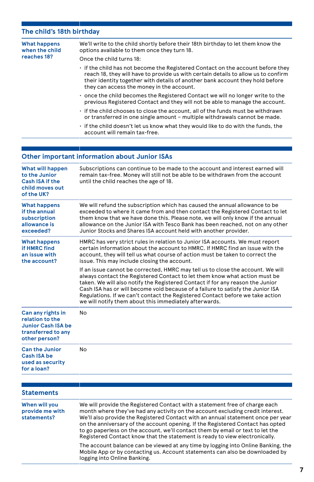### **The child's 18th birthday**

| <b>What happens</b><br>when the child<br>reaches 18?                                                     | We'll write to the child shortly before their 18th birthday to let them know the<br>options available to them once they turn 18.<br>Once the child turns 18:                                                                                                                                                                                                                                                                                                                                         |
|----------------------------------------------------------------------------------------------------------|------------------------------------------------------------------------------------------------------------------------------------------------------------------------------------------------------------------------------------------------------------------------------------------------------------------------------------------------------------------------------------------------------------------------------------------------------------------------------------------------------|
|                                                                                                          | if the child has not become the Registered Contact on the account before they<br>reach 18, they will have to provide us with certain details to allow us to confirm<br>their identity together with details of another bank account they hold before<br>they can access the money in the account.                                                                                                                                                                                                    |
|                                                                                                          | . once the child becomes the Registered Contact we will no longer write to the<br>previous Registered Contact and they will not be able to manage the account.                                                                                                                                                                                                                                                                                                                                       |
|                                                                                                          | if the child chooses to close the account, all of the funds must be withdrawn<br>or transferred in one single amount - multiple withdrawals cannot be made.                                                                                                                                                                                                                                                                                                                                          |
|                                                                                                          | . if the child doesn't let us know what they would like to do with the funds, the<br>account will remain tax-free.                                                                                                                                                                                                                                                                                                                                                                                   |
|                                                                                                          |                                                                                                                                                                                                                                                                                                                                                                                                                                                                                                      |
|                                                                                                          | <b>Other important information about Junior ISAs</b>                                                                                                                                                                                                                                                                                                                                                                                                                                                 |
| What will happen<br>to the Junior<br><b>Cash ISA if the</b><br>child moves out<br>of the UK?             | Subscriptions can continue to be made to the account and interest earned will<br>remain tax-free. Money will still not be able to be withdrawn from the account<br>until the child reaches the age of 18.                                                                                                                                                                                                                                                                                            |
| <b>What happens</b><br>if the annual<br>subscription<br>allowance is<br>exceeded?                        | We will refund the subscription which has caused the annual allowance to be<br>exceeded to where it came from and then contact the Registered Contact to let<br>them know that we have done this. Please note, we will only know if the annual<br>allowance on the Junior ISA with Tesco Bank has been reached, not on any other<br>Junior Stocks and Shares ISA account held with another provider.                                                                                                 |
| <b>What happens</b><br>if HMRC find<br>an issue with<br>the account?                                     | HMRC has very strict rules in relation to Junior ISA accounts. We must report<br>certain information about the account to HMRC. If HMRC find an issue with the<br>account, they will tell us what course of action must be taken to correct the<br>issue. This may include closing the account.                                                                                                                                                                                                      |
|                                                                                                          | If an issue cannot be corrected, HMRC may tell us to close the account. We will<br>always contact the Registered Contact to let them know what action must be<br>taken. We will also notify the Registered Contact if for any reason the Junior<br>Cash ISA has or will become void because of a failure to satisfy the Junior ISA<br>Regulations. If we can't contact the Registered Contact before we take action<br>we will notify them about this immediately afterwards.                        |
| Can any rights in<br>relation to the<br><b>Junior Cash ISA be</b><br>transferred to any<br>other person? | No                                                                                                                                                                                                                                                                                                                                                                                                                                                                                                   |
| <b>Can the Junior</b><br>Cash ISA be<br>used as security<br>for a loan?                                  | No                                                                                                                                                                                                                                                                                                                                                                                                                                                                                                   |
|                                                                                                          |                                                                                                                                                                                                                                                                                                                                                                                                                                                                                                      |
| <b>Statements</b>                                                                                        |                                                                                                                                                                                                                                                                                                                                                                                                                                                                                                      |
| When will you<br>provide me with<br>statements?                                                          | We will provide the Registered Contact with a statement free of charge each<br>month where they've had any activity on the account excluding credit interest.<br>We'll also provide the Registered Contact with an annual statement once per year<br>on the anniversary of the account opening. If the Registered Contact has opted<br>to go paperless on the account, we'll contact them by email or text to let the<br>Registered Contact know that the statement is ready to view electronically. |
|                                                                                                          | The account balance can be viewed at any time by logging into Online Banking, the<br>Mobile App or by contacting us. Account statements can also be downloaded by<br>logging into Online Banking.                                                                                                                                                                                                                                                                                                    |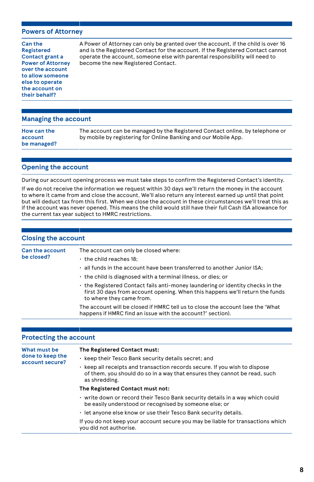#### **Powers of Attorney**

**Can the Registered Contact grant a Power of Attorney over the account to allow someone else to operate the account on their behalf?**

A Power of Attorney can only be granted over the account, if the child is over 16 and is the Registered Contact for the account. If the Registered Contact cannot operate the account, someone else with parental responsibility will need to become the new Registered Contact.

#### **Managing the account**

#### **Opening the account**

During our account opening process we must take steps to confirm the Registered Contact's identity.

If we do not receive the information we request within 30 days we'll return the money in the account to where it came from and close the account. We'll also return any interest earned up until that point but will deduct tax from this first. When we close the account in these circumstances we'll treat this as if the account was never opened. This means the child would still have their full Cash ISA allowance for the current tax year subject to HMRC restrictions.

| <b>Closing the account</b>           |                                                                                                                                                                                          |
|--------------------------------------|------------------------------------------------------------------------------------------------------------------------------------------------------------------------------------------|
| <b>Can the account</b><br>be closed? | The account can only be closed where:<br>$\cdot$ the child reaches 18:                                                                                                                   |
|                                      | $\cdot$ all funds in the account have been transferred to another Junior ISA:<br>the child is diagnosed with a terminal illness, or dies; or                                             |
|                                      | the Registered Contact fails anti-money laundering or identity checks in the<br>first 30 days from account opening. When this happens we'll return the funds<br>to where they came from. |
|                                      | The account will be closed if HMRC tell us to close the account (see the 'What<br>happens if HMRC find an issue with the account?' section).                                             |

| <b>Protecting the account</b>                       |                                                                                                                                                                          |
|-----------------------------------------------------|--------------------------------------------------------------------------------------------------------------------------------------------------------------------------|
| What must be<br>done to keep the<br>account secure? | The Registered Contact must:                                                                                                                                             |
|                                                     | • keep their Tesco Bank security details secret; and                                                                                                                     |
|                                                     | • keep all receipts and transaction records secure. If you wish to dispose<br>of them, you should do so in a way that ensures they cannot be read, such<br>as shredding. |
|                                                     | The Registered Contact must not:                                                                                                                                         |
|                                                     | . write down or record their Tesco Bank security details in a way which could<br>be easily understood or recognised by someone else; or                                  |
|                                                     | . let anyone else know or use their Tesco Bank security details.                                                                                                         |
|                                                     | If you do not keep your account secure you may be liable for transactions which<br>you did not authorise.                                                                |

#### **8**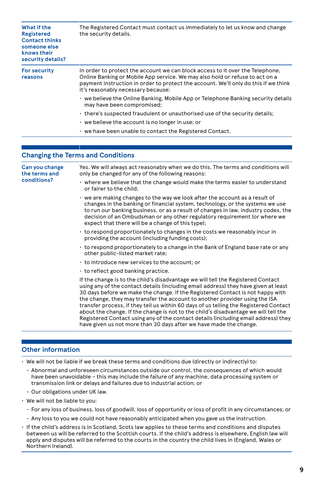| What if the<br><b>Registered</b><br><b>Contact thinks</b><br>someone else<br>knows their<br>security details? | The Registered Contact must contact us immediately to let us know and change<br>the security details.                                                                                                                                                                                      |
|---------------------------------------------------------------------------------------------------------------|--------------------------------------------------------------------------------------------------------------------------------------------------------------------------------------------------------------------------------------------------------------------------------------------|
| <b>For security</b><br>reasons                                                                                | In order to protect the account we can block access to it over the Telephone,<br>Online Banking or Mobile App service. We may also hold or refuse to act on a<br>payment instruction in order to protect the account. We'll only do this if we think<br>it's reasonably necessary because: |
|                                                                                                               | • we believe the Online Banking, Mobile App or Telephone Banking security details<br>may have been compromised;                                                                                                                                                                            |
|                                                                                                               | there's suspected fraudulent or unauthorised use of the security details;                                                                                                                                                                                                                  |
|                                                                                                               | $\cdot$ we believe the account is no longer in use; or                                                                                                                                                                                                                                     |
|                                                                                                               | • we have been unable to contact the Registered Contact.                                                                                                                                                                                                                                   |

#### **Changing the Terms and Conditions**

| Can you change<br>the terms and<br>conditions? | Yes. We will always act reasonably when we do this. The terms and conditions will<br>only be changed for any of the following reasons:                                                                                                                                                                                                                                                                                                                                                                                                                                                                                                                                               |
|------------------------------------------------|--------------------------------------------------------------------------------------------------------------------------------------------------------------------------------------------------------------------------------------------------------------------------------------------------------------------------------------------------------------------------------------------------------------------------------------------------------------------------------------------------------------------------------------------------------------------------------------------------------------------------------------------------------------------------------------|
|                                                | • where we believe that the change would make the terms easier to understand<br>or fairer to the child;                                                                                                                                                                                                                                                                                                                                                                                                                                                                                                                                                                              |
|                                                | $\cdot$ we are making changes to the way we look after the account as a result of<br>changes in the banking or financial system, technology, or the systems we use<br>to run our banking business, or as a result of changes in law, industry codes, the<br>decision of an Ombudsman or any other regulatory requirement (or where we<br>expect that there will be a change of this type);                                                                                                                                                                                                                                                                                           |
|                                                | to respond proportionately to changes in the costs we reasonably incur in<br>providing the account (including funding costs);                                                                                                                                                                                                                                                                                                                                                                                                                                                                                                                                                        |
|                                                | to respond proportionately to a change in the Bank of England base rate or any<br>other public-listed market rate;                                                                                                                                                                                                                                                                                                                                                                                                                                                                                                                                                                   |
|                                                | • to introduce new services to the account; or                                                                                                                                                                                                                                                                                                                                                                                                                                                                                                                                                                                                                                       |
|                                                | $\cdot$ to reflect good banking practice.                                                                                                                                                                                                                                                                                                                                                                                                                                                                                                                                                                                                                                            |
|                                                | If the change is to the child's disadvantage we will tell the Registered Contact<br>using any of the contact details (including email address) they have given at least<br>30 days before we make the change. If the Registered Contact is not happy with<br>the change, they may transfer the account to another provider using the ISA<br>transfer process, if they tell us within 60 days of us telling the Registered Contact<br>about the change. If the change is not to the child's disadvantage we will tell the<br>Registered Contact using any of the contact details (including email address) they<br>have given us not more than 30 days after we have made the change. |
|                                                |                                                                                                                                                                                                                                                                                                                                                                                                                                                                                                                                                                                                                                                                                      |

#### **Other information**

• We will not be liable if we break these terms and conditions due (directly or indirectly) to:

- Abnormal and unforeseen circumstances outside our control, the consequences of which would have been unavoidable – this may include the failure of any machine, data processing system or transmission link or delays and failures due to industrial action; or
- Our obligations under UK law.
- We will not be liable to you:
	- For any loss of business, loss of goodwill, loss of opportunity or loss of profit in any circumstances; or
	- Any loss to you we could not have reasonably anticipated when you gave us the instruction.
- If the child's address is in Scotland, Scots law applies to these terms and conditions and disputes between us will be referred to the Scottish courts. If the child's address is elsewhere, English law will apply and disputes will be referred to the courts in the country the child lives in (England, Wales or Northern Ireland).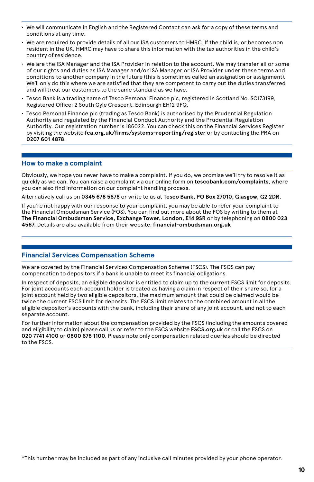- We will communicate in English and the Registered Contact can ask for a copy of these terms and conditions at any time.
- We are required to provide details of all our ISA customers to HMRC. If the child is, or becomes non resident in the UK, HMRC may have to share this information with the tax authorities in the child's country of residence.
- We are the ISA Manager and the ISA Provider in relation to the account. We may transfer all or some of our rights and duties as ISA Manager and/or ISA Manager or ISA Provider under these terms and conditions to another company in the future (this is sometimes called an assignation or assignment). We'll only do this where we are satisfied that they are competent to carry out the duties transferred and will treat our customers to the same standard as we have.
- Tesco Bank is a trading name of Tesco Personal Finance plc, registered in Scotland No. SC173199, Registered Office: 2 South Gyle Crescent, Edinburgh EH12 9FQ.
- Tesco Personal Finance plc (trading as Tesco Bank) is authorised by the Prudential Regulation Authority and regulated by the Financial Conduct Authority and the Prudential Regulation Authority. Our registration number is 186022. You can check this on the Financial Services Register by visiting the website **fca.org.uk/firms/systems-reporting/register** or by contacting the PRA on **0207 601 4878**.

#### **How to make a complaint**

Obviously, we hope you never have to make a complaint. If you do, we promise we'll try to resolve it as quickly as we can. You can raise a complaint via our online form on **tescobank.com/complaints**, where you can also find information on our complaint handling process.

Alternatively call us on **0345 678 5678** or write to us at **Tesco Bank, PO Box 27010, Glasgow, G2 2DR**.

If you're not happy with our response to your complaint, you may be able to refer your complaint to the Financial Ombudsman Service (FOS). You can find out more about the FOS by writing to them at **The Financial Ombudsman Service, Exchange Tower, London, E14 9SR** or by telephoning on **0800 023 4567**. Details are also available from their website, **financial-ombudsman.org.uk**

#### **Financial Services Compensation Scheme**

We are covered by the Financial Services Compensation Scheme (FSCS). The FSCS can pay compensation to depositors if a bank is unable to meet its financial obligations.

In respect of deposits, an eligible depositor is entitled to claim up to the current FSCS limit for deposits. For joint accounts each account holder is treated as having a claim in respect of their share so, for a joint account held by two eligible depositors, the maximum amount that could be claimed would be twice the current FSCS limit for deposits. The FSCS limit relates to the combined amount in all the eligible depositor's accounts with the bank, including their share of any joint account, and not to each separate account.

For further information about the compensation provided by the FSCS (including the amounts covered and eligibility to claim) please call us or refer to the FSCS website **FSCS.org.uk** or call the FSCS on **020 7741 4100** or **0800 678 1100**. Please note only compensation related queries should be directed to the FSCS.